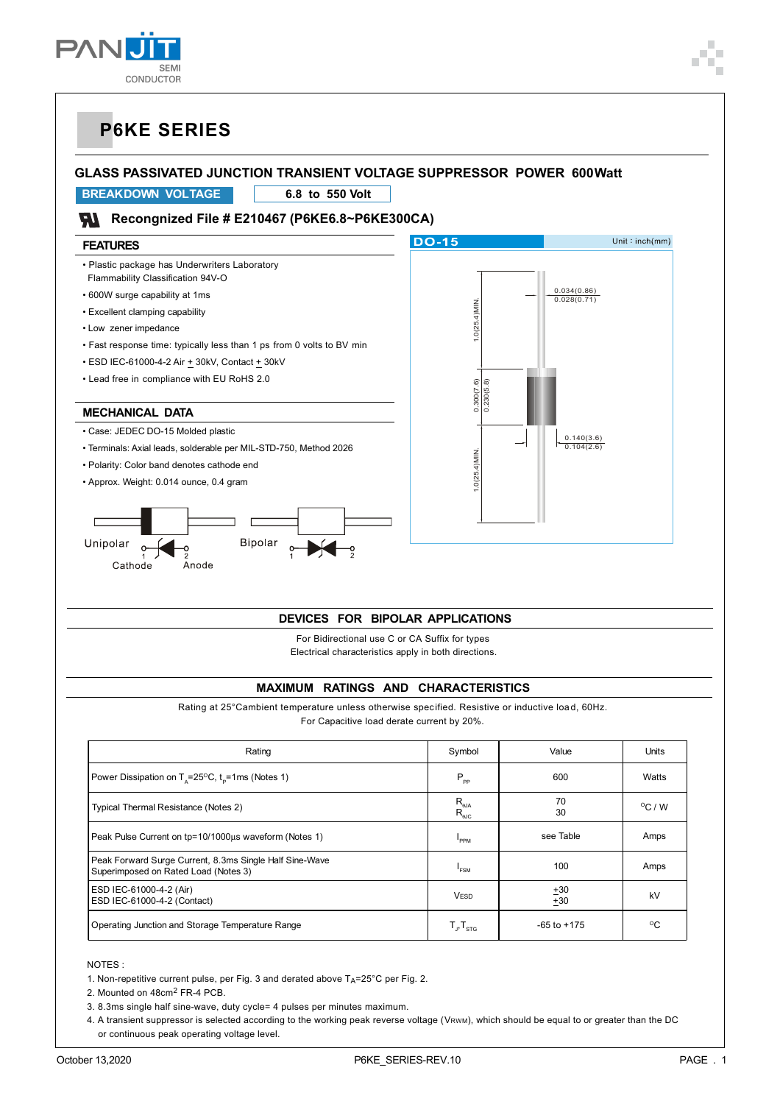

### **GLASS PASSIVATED JUNCTION TRANSIENT VOLTAGE SUPPRESSOR POWER 600 Watt**

**BREAK DOWN VOLTAGE 6.8 to 550 Volt**

### **Recongnized File # E210467 (P6KE6.8~P6KE300CA)**

## Unit:  $inch(mm)$ **DO-15 FEATURES** • Plastic package has Underwriters Laboratory Flammability Classification 94V-O • 600W surge capability at 1ms 0.034(0.86) 0.028(0.71)  $\frac{2}{\pi}$ <br>  $\frac{1}{\pi}$ <br>  $\frac{1}{\pi}$ <br>  $\frac{1}{\pi}$ <br>  $\frac{1}{\pi}$ <br>  $\frac{1}{\pi}$ <br>  $\frac{1}{\pi}$ <br>  $\frac{1}{\pi}$ <br>  $\frac{1}{\pi}$ <br>  $\frac{1}{\pi}$ <br>  $\frac{1}{\pi}$ <br>  $\frac{1}{\pi}$ <br>  $\frac{1}{\pi}$ <br>  $\frac{1}{\pi}$ <br>  $\frac{1}{\pi}$ <br>  $\frac{1}{\pi}$ <br>  $\frac{1}{\pi}$ <br>  $\frac{1}{\pi}$ <br>  $\frac{1$ • Excellent clamping capability • Low zener impedance • Fast response time: typically less than 1 ps from 0 volts to BV min  $\cdot$  ESD IEC-61000-4-2 Air  $\pm$  30kV, Contact  $\pm$  30kV • Lead free in compliance with EU RoHS 2.0 **MECHANICAL DATA** • Case: JEDEC DO-15 Molded plastic 0.140(3.6) 0.104(2.6) • Terminals: Axial leads, solderable per MIL-STD-750, Method 2026 1.0(25.4)MIN.• Polarity: Color band denotes cathode end • Approx. Weight: 0.014 ounce, 0.4 gram Unipolar Bipolar Cathode Anode

#### **DEVICES FOR BIPOLAR APPLICATIONS**

For Bidirectional use C or CA Suffix for types Electrical characteristics apply in both directions.

#### **MAXIMUM RATINGS AND CHARACTERISTICS**

Rating at 25°Cambient temperature unless otherwise specified. Resistive or inductive load, 60Hz. For Capacitive load derate current by 20%.

| Rating                                                                                          | Symbol                                      | Value           | Units            |
|-------------------------------------------------------------------------------------------------|---------------------------------------------|-----------------|------------------|
| Power Dissipation on $T_s = 25^{\circ}C$ , $t_s = 1$ ms (Notes 1)                               | $P_{\rm pp}$                                | 600             | Watts            |
| Typical Thermal Resistance (Notes 2)                                                            | $R_{\text{\tiny{QJA}}}$<br>$R_{\text{euc}}$ | 70<br>30        | $^{\circ}$ C / W |
| Peak Pulse Current on tp=10/1000us waveform (Notes 1)                                           | <b>PPM</b>                                  | see Table       | Amps             |
| Peak Forward Surge Current, 8.3ms Single Half Sine-Wave<br>Superimposed on Rated Load (Notes 3) | FSM                                         | 100             | Amps             |
| ESD IEC-61000-4-2 (Air)<br>ESD IEC-61000-4-2 (Contact)                                          | <b>VESD</b>                                 | ±30<br>$+30$    | kV               |
| Operating Junction and Storage Temperature Range                                                | $T_{\text{B}}T_{\text{STG}}$                | $-65$ to $+175$ | $^{\circ}$       |

NOTES :

1. Non-repetitive current pulse, per Fig. 3 and derated above  $T_A$ =25°C per Fig. 2.

2. Mounted on 48cm2 FR-4 PCB.

3. 8.3ms single half sine-wave, duty cycle= 4 pulses per minutes maximum.

4. A transient suppressor is selected according to the working peak reverse voltage (VRWM), which should be equal to or greater than the DC or continuous peak operating voltage level.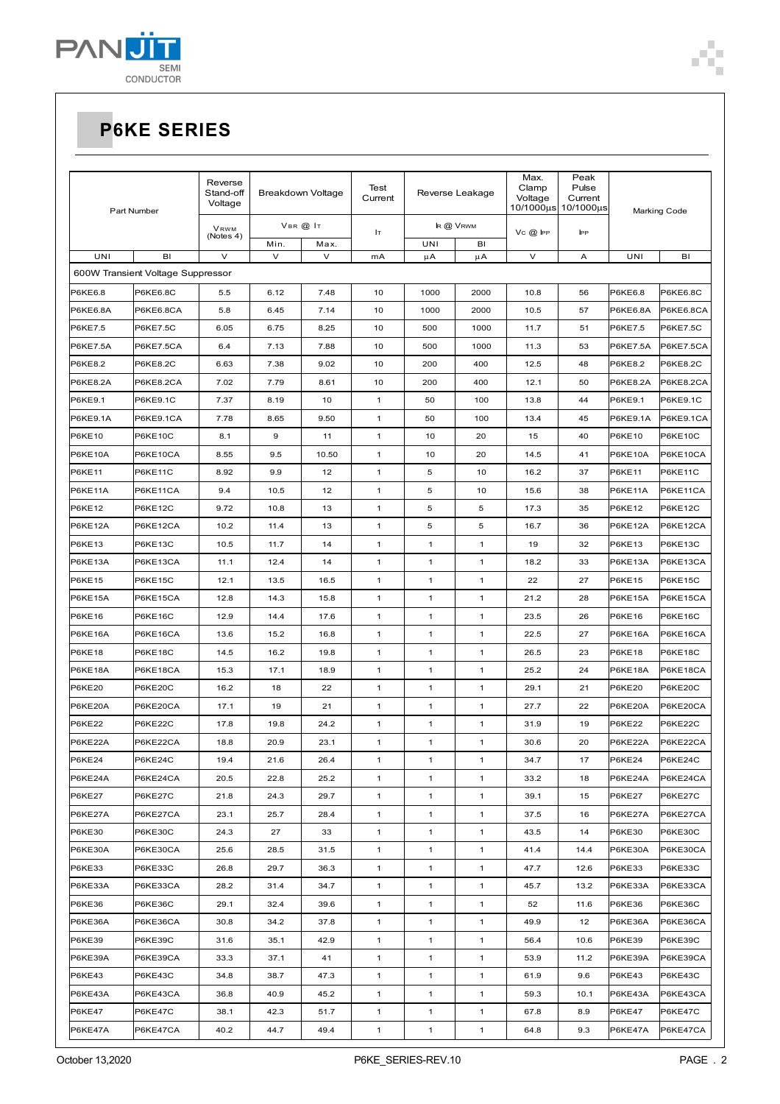

## **P6KE SERIES**

| Part Number     |                                   | Reverse<br>Stand-off<br>Breakdown Voltage<br>Voltage |              | Test<br>Reverse Leakage<br>Current |              | Max.<br>Clamp<br>Voltage | Peak<br>Pulse<br>Current<br>10/1000us 10/1000us | Marking Code |      |                    |                                     |
|-----------------|-----------------------------------|------------------------------------------------------|--------------|------------------------------------|--------------|--------------------------|-------------------------------------------------|--------------|------|--------------------|-------------------------------------|
|                 |                                   | VRWM<br>(Notes 4)                                    | VBR @ IT     |                                    | Iт           | IR @ VRWM                |                                                 | $Vc$ $@$ IPP | PP   |                    |                                     |
| UNI             | BI<br>$\vee$                      |                                                      | Min.<br>V    | Max.<br>V                          | mA           | UNI<br>μA                | BI<br>μA                                        | V            | Α    | UNI                | BI                                  |
|                 | 600W Transient Voltage Suppressor |                                                      |              |                                    |              |                          |                                                 |              |      |                    |                                     |
| P6KE6.8         | <b>P6KE6.8C</b>                   | 5.5                                                  | 6.12         | 7.48                               | 10           | 1000                     | 2000                                            | 10.8         | 56   | P6KE6.8            | <b>P6KE6.8C</b>                     |
| P6KE6.8A        | P6KE6.8CA                         | 5.8                                                  | 6.45         | 7.14                               | 10           | 1000                     | 2000                                            | 10.5         | 57   | P6KE6.8A           | P6KE6.8CA                           |
| <b>P6KE7.5</b>  |                                   | 6.05                                                 |              |                                    | 10           | 500                      | 1000                                            | 11.7         | 51   | P6KE7.5            |                                     |
| P6KE7.5A        | <b>P6KE7.5C</b><br>P6KE7.5CA      | 6.4                                                  | 6.75<br>7.13 | 8.25<br>7.88                       | 10           | 500                      | 1000                                            | 11.3         | 53   | P6KE7.5A           | <b>P6KE7.5C</b><br><b>P6KE7.5CA</b> |
|                 | <b>P6KE8.2C</b>                   |                                                      |              | 9.02                               | 10           | 200                      | 400                                             |              | 48   |                    |                                     |
| P6KE8.2         |                                   | 6.63                                                 | 7.38         |                                    |              |                          |                                                 | 12.5         |      | P6KE8.2            | P6KE8.2C                            |
| <b>P6KE8.2A</b> | P6KE8.2CA                         | 7.02                                                 | 7.79         | 8.61                               | 10           | 200                      | 400                                             | 12.1         | 50   | P6KE8.2A           | <b>P6KE8.2CA</b>                    |
| P6KE9.1         | <b>P6KE9.1C</b>                   | 7.37                                                 | 8.19         | 10                                 | $\mathbf{1}$ | 50                       | 100                                             | 13.8         | 44   | P6KE9.1            | P6KE9.1C                            |
| P6KE9.1A        | P6KE9.1CA                         | 7.78                                                 | 8.65         | 9.50                               | $\mathbf{1}$ | 50                       | 100                                             | 13.4         | 45   | P6KE9.1A<br>P6KE10 | P6KE9.1CA                           |
| <b>P6KE10</b>   | <b>P6KE10C</b>                    | 8.1                                                  | 9            | 11                                 | $\mathbf{1}$ | 10                       | 20                                              | 15           | 40   |                    | <b>P6KE10C</b>                      |
| P6KE10A         | P6KE10CA                          | 8.55                                                 | 9.5          | 10.50                              | $\mathbf{1}$ | 10                       | 20                                              | 14.5         | 41   | P6KE10A            | P6KE10CA                            |
| P6KE11          | P6KE11C                           | 8.92                                                 | 9.9          | 12                                 | $\mathbf{1}$ | 5                        | 10                                              | 16.2         | 37   | P6KE11             | <b>P6KE11C</b>                      |
| P6KE11A         | P6KE11CA                          | 9.4                                                  | 10.5         | 12                                 | $\mathbf{1}$ | 5                        | 10                                              | 15.6         | 38   | P6KE11A            | P6KE11CA                            |
| <b>P6KE12</b>   | <b>P6KE12C</b>                    | 9.72                                                 | 10.8         | 13                                 | $\mathbf{1}$ | 5                        | 5                                               | 17.3         | 35   | P6KE12             | <b>P6KE12C</b>                      |
| P6KE12A         | P6KE12CA                          | 10.2                                                 | 11.4         | 13                                 | $\mathbf{1}$ | 5                        | 5                                               | 16.7         | 36   | P6KE12A            | P6KE12CA                            |
| <b>P6KE13</b>   | P6KE13C                           | 10.5                                                 | 11.7         | 14                                 | $\mathbf{1}$ | 1                        | $\mathbf{1}$                                    | 19           | 32   | P6KE13             | P6KE13C                             |
| P6KE13A         | P6KE13CA                          | 11.1                                                 | 12.4         | 14                                 | $\mathbf{1}$ | 1                        | $\mathbf{1}$                                    | 18.2         | 33   | P6KE13A            | P6KE13CA                            |
| <b>P6KE15</b>   | <b>P6KE15C</b>                    | 12.1                                                 | 13.5         | 16.5                               | $\mathbf{1}$ | 1                        | $\mathbf{1}$                                    | 22           | 27   | P6KE15             | <b>P6KE15C</b>                      |
| P6KE15A         | P6KE15CA                          | 12.8                                                 | 14.3         | 15.8                               | $\mathbf{1}$ | $\mathbf{1}$             | $\mathbf{1}$                                    | 21.2         | 28   | P6KE15A            | P6KE15CA                            |
| P6KE16          | <b>P6KE16C</b>                    | 12.9                                                 | 14.4         | 17.6                               | $\mathbf{1}$ | $\mathbf{1}$             | $\mathbf{1}$                                    | 23.5         | 26   | P6KE16             | <b>P6KE16C</b>                      |
| P6KE16A         | P6KE16CA                          | 13.6                                                 | 15.2         | 16.8                               | $\mathbf{1}$ | $\mathbf{1}$             | $\mathbf{1}$                                    | 22.5         | 27   | P6KE16A            | P6KE16CA                            |
| <b>P6KE18</b>   | <b>P6KE18C</b>                    | 14.5                                                 | 16.2         | 19.8                               | $\mathbf{1}$ | 1                        | $\mathbf{1}$                                    | 26.5         | 23   | P6KE18             | <b>P6KE18C</b>                      |
| P6KE18A         | P6KE18CA                          | 15.3                                                 | 17.1         | 18.9                               | $\mathbf{1}$ | 1                        | $\mathbf{1}$                                    | 25.2         | 24   | P6KE18A            | P6KE18CA                            |
| <b>P6KE20</b>   | <b>P6KE20C</b>                    | 16.2                                                 | 18           | 22                                 | $\mathbf{1}$ | 1                        | $\mathbf{1}$                                    | 29.1         | 21   | <b>P6KE20</b>      | <b>P6KE20C</b>                      |
| P6KE20A         | P6KE20CA                          | 17.1                                                 | 19           | 21                                 | $\mathbf{1}$ | 1                        | $\mathbf{1}$                                    | 27.7         | 22   | P6KE20A            | P6KE20CA                            |
| <b>P6KE22</b>   | P6KE22C                           | 17.8                                                 | 19.8         | 24.2                               | $\mathbf{1}$ | 1                        | $\mathbf{1}$                                    | 31.9         | 19   | P6KE22             | P6KE22C                             |
| P6KE22A         | P6KE22CA                          | 18.8                                                 | 20.9         | 23.1                               | $\mathbf{1}$ | $\mathbf{1}$             | $\mathbf{1}$                                    | 30.6         | 20   | P6KE22A            | P6KE22CA                            |
| <b>P6KE24</b>   | P6KE24C                           | 19.4                                                 | 21.6         | 26.4                               | 1            | 1                        | $\mathbf{1}$                                    | 34.7         | 17   | P6KE24             | P6KE24C                             |
| P6KE24A         | P6KE24CA                          | 20.5                                                 | 22.8         | 25.2                               | $\mathbf{1}$ | 1                        | $\mathbf{1}$                                    | 33.2         | 18   | P6KE24A            | P6KE24CA                            |
| <b>P6KE27</b>   | <b>P6KE27C</b>                    | 21.8                                                 | 24.3         | 29.7                               | $\mathbf{1}$ | $\mathbf{1}$             | $\mathbf{1}$                                    | 39.1         | 15   | P6KE27             | P6KE27C                             |
| P6KE27A         | P6KE27CA                          | 23.1                                                 | 25.7         | 28.4                               | $\mathbf{1}$ | $\mathbf{1}$             | $\mathbf{1}$                                    | 37.5         | 16   | P6KE27A            | P6KE27CA                            |
| <b>P6KE30</b>   | <b>P6KE30C</b>                    | 24.3                                                 | 27           | 33                                 | $\mathbf{1}$ | $\mathbf{1}$             | $\mathbf{1}$                                    | 43.5         | 14   | P6KE30             | <b>P6KE30C</b>                      |
| P6KE30A         | P6KE30CA                          | 25.6                                                 | 28.5         | 31.5                               | $\mathbf{1}$ | 1                        | $\mathbf{1}$                                    | 41.4         | 14.4 | P6KE30A            | P6KE30CA                            |
| <b>P6KE33</b>   | P6KE33C                           | 26.8                                                 | 29.7         | 36.3                               | $\mathbf{1}$ | $\mathbf{1}$             | $\mathbf{1}$                                    | 47.7         | 12.6 | P6KE33             | P6KE33C                             |
| P6KE33A         | P6KE33CA                          | 28.2                                                 | 31.4         | 34.7                               | $\mathbf{1}$ | $\mathbf{1}$             | $\mathbf{1}$                                    | 45.7         | 13.2 | P6KE33A            | P6KE33CA                            |
| <b>P6KE36</b>   | P6KE36C                           | 29.1                                                 | 32.4         | 39.6                               | $\mathbf{1}$ | $\mathbf{1}$             | $\mathbf{1}$                                    | 52           | 11.6 | P6KE36             | P6KE36C                             |
| P6KE36A         | P6KE36CA                          | 30.8                                                 | 34.2         | 37.8                               | $\mathbf{1}$ | $\mathbf{1}$             | $\mathbf{1}$                                    | 49.9         | 12   | P6KE36A            | P6KE36CA                            |
| <b>P6KE39</b>   | P6KE39C                           | 31.6                                                 | 35.1         | 42.9                               | $\mathbf{1}$ | $\mathbf{1}$             | $\mathbf{1}$                                    | 56.4         | 10.6 | P6KE39             | P6KE39C                             |
| P6KE39A         | P6KE39CA                          | 33.3                                                 | 37.1         | 41                                 | $\mathbf{1}$ | $\mathbf{1}$             | $\mathbf{1}$                                    | 53.9         | 11.2 | P6KE39A            | P6KE39CA                            |
| P6KE43          | P6KE43C                           | 34.8                                                 | 38.7         | 47.3                               | $\mathbf{1}$ | $\mathbf{1}$             | $\mathbf{1}$                                    | 61.9         | 9.6  | P6KE43             | P6KE43C                             |
| P6KE43A         | P6KE43CA                          | 36.8                                                 | 40.9         | 45.2                               | $\mathbf{1}$ | $\mathbf{1}$             | $\mathbf{1}$                                    | 59.3         | 10.1 | P6KE43A            | P6KE43CA                            |
| <b>P6KE47</b>   | P6KE47C                           | 38.1                                                 | 42.3         | 51.7                               | $\mathbf{1}$ | $\mathbf{1}$             | $\mathbf{1}$                                    | 67.8         | 8.9  | P6KE47             | <b>P6KE47C</b>                      |
| P6KE47A         | P6KE47CA                          | 40.2                                                 | 44.7         | 49.4                               | $\mathbf{1}$ | 1                        | $\mathbf{1}$                                    | 64.8         | 9.3  | P6KE47A            | P6KE47CA                            |

T. Ė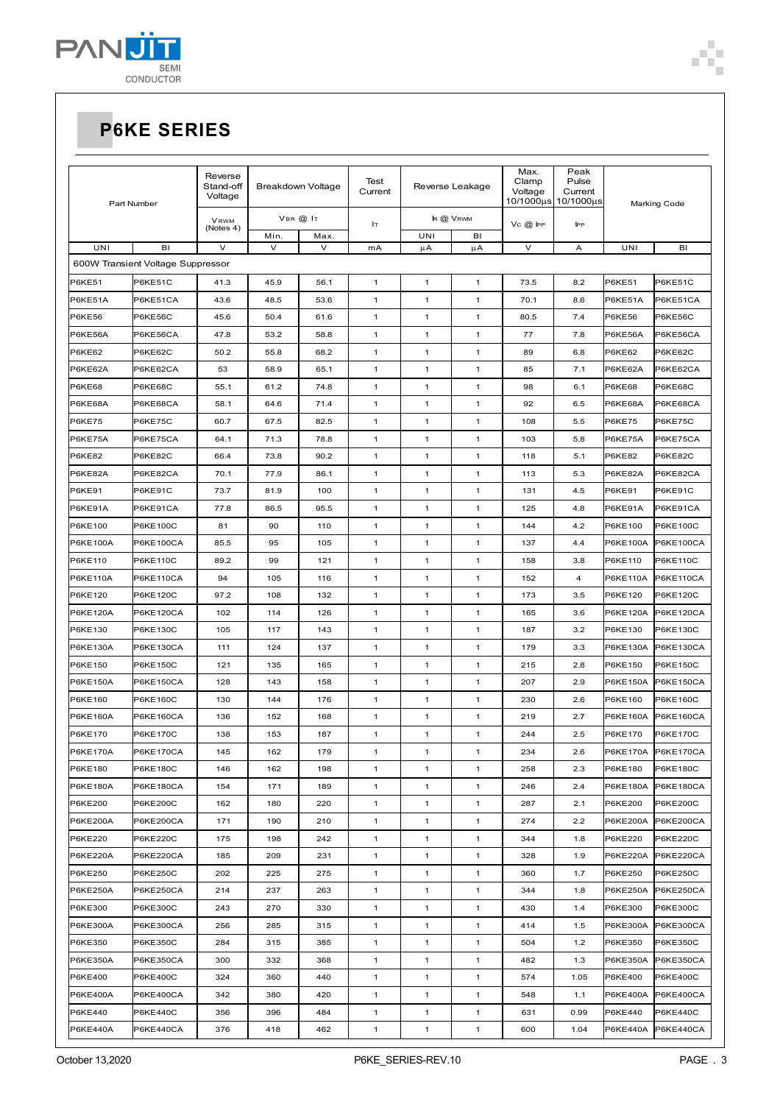

| Part Number     |                                   | Reverse<br>Stand-off<br>Breakdown Voltage<br>Voltage |                | Test<br>Reverse Leakage<br>Current |              | Max.<br>Clamp<br>Voltage<br>10/1000µs | Peak<br>Pulse<br>Current<br>10/1000us |        | <b>Marking Code</b> |                 |                    |
|-----------------|-----------------------------------|------------------------------------------------------|----------------|------------------------------------|--------------|---------------------------------------|---------------------------------------|--------|---------------------|-----------------|--------------------|
|                 |                                   | VRWM<br>(Notes 4)                                    |                | VBR @ IT                           | Iт           |                                       | IR @ VRWM                             | Vc@lPP | <b>IPP</b>          |                 |                    |
| UNI             | BI                                | $\vee$                                               | Min.<br>$\vee$ | Max.<br>$\vee$                     | mA           | UNI<br>μA                             | BI<br>μA                              | V      | Α                   | UNI             | BI                 |
|                 | 600W Transient Voltage Suppressor |                                                      |                |                                    |              |                                       |                                       |        |                     |                 |                    |
| P6KE51          | P6KE51C                           | 41.3                                                 | 45.9           | 56.1                               | $\mathbf{1}$ | $\overline{1}$                        | $\mathbf{1}$                          | 73.5   | 8.2                 | <b>P6KE51</b>   | P6KE51C            |
| P6KE51A         | P6KE51CA                          | 43.6                                                 | 48.5           | 53.6                               | 1            | $\mathbf{1}$                          | $\mathbf{1}$                          | 70.1   | 8.6                 | P6KE51A         | P6KE51CA           |
| P6KE56          | P6KE56C                           | 45.6                                                 | 50.4           | 61.6                               | 1            | $\mathbf{1}$                          | 1                                     | 80.5   | 7.4                 | <b>P6KE56</b>   | P6KE56C            |
| P6KE56A         | P6KE56CA                          | 47.8                                                 | 53.2           | 58.8                               | 1            | $\mathbf{1}$                          | $\mathbf{1}$                          | 77     | 7.8                 | P6KE56A         | P6KE56CA           |
| P6KE62          | P6KE62C                           | 50.2                                                 | 55.8           | 68.2                               | 1            | $\mathbf{1}$                          | $\mathbf{1}$                          | 89     | 6.8                 | P6KE62          | P6KE62C            |
| P6KE62A         | P6KE62CA                          | 53                                                   | 58.9           | 65.1                               | 1            | $\mathbf{1}$                          | 1                                     | 85     | 7.1                 | P6KE62A         | P6KE62CA           |
| <b>P6KE68</b>   | <b>P6KE68C</b>                    | 55.1                                                 | 61.2           | 74.8                               | 1            | $\mathbf{1}$                          | $\mathbf{1}$                          | 98     | 6.1                 | <b>P6KE68</b>   | <b>P6KE68C</b>     |
| P6KE68A         | P6KE68CA                          | 58.1                                                 | 64.6           | 71.4                               | 1            | $\mathbf{1}$                          | 1                                     | 92     | 6.5                 | P6KE68A         | P6KE68CA           |
| P6KE75          | P6KE75C                           | 60.7                                                 | 67.5           | 82.5                               | 1            | $\mathbf{1}$                          | $\mathbf{1}$                          | 108    | 5.5                 | <b>P6KE75</b>   | P6KE75C            |
| P6KE75A         | P6KE75CA                          | 64.1                                                 | 71.3           | 78.8                               | 1            | $\mathbf{1}$                          | 1                                     | 103    | 5.8                 | P6KE75A         | P6KE75CA           |
| <b>P6KE82</b>   | P6KE82C                           | 66.4                                                 | 73.8           | 90.2                               | $\mathbf{1}$ | $\mathbf{1}$                          | $\mathbf{1}$                          | 118    | 5.1                 | <b>P6KE82</b>   | P6KE82C            |
| P6KE82A         | P6KE82CA                          | 70.1                                                 | 77.9           | 86.1                               | 1            | $\mathbf{1}$                          | $\mathbf{1}$                          | 113    | 5.3                 | P6KE82A         | P6KE82CA           |
| <b>P6KE91</b>   | P6KE91C                           | 73.7                                                 | 81.9           | 100                                | 1            | $\mathbf{1}$                          | 1                                     | 131    | 4.5                 | <b>P6KE91</b>   | P6KE91C            |
| P6KE91A         | P6KE91CA                          | 77.8                                                 | 86.5           | 95.5                               | 1            | $\mathbf{1}$                          | $\mathbf{1}$                          | 125    | 4.8                 | P6KE91A         | P6KE91CA           |
| P6KE100         | P6KE100C                          | 81                                                   | 90             | 110                                | $\mathbf{1}$ | $\mathbf{1}$                          | 1                                     | 144    | 4.2                 | P6KE100         | P6KE100C           |
| P6KE100A        | P6KE100CA                         | 85.5                                                 | 95             | 105                                | $\mathbf{1}$ | $\mathbf{1}$                          | $\mathbf{1}$                          | 137    | 4.4                 | P6KE100A        | P6KE100CA          |
| P6KE110         | P6KE110C                          | 89.2                                                 | 99             | 121                                | 1            | $\mathbf{1}$                          | $\mathbf{1}$                          | 158    | 3.8                 | P6KE110         | P6KE110C           |
| P6KE110A        | <b>P6KE110CA</b>                  | 94                                                   | 105            | 116                                | 1            | $\mathbf{1}$                          | $\mathbf{1}$                          | 152    | 4                   | P6KE110A        | <b>P6KE110CA</b>   |
| P6KE120         | P6KE120C                          | 97.2                                                 | 108            | 132                                | 1            | $\mathbf{1}$                          | $\mathbf{1}$                          | 173    | 3.5                 | P6KE120         | P6KE120C           |
| P6KE120A        | P6KE120CA                         | 102                                                  | 114            | 126                                | $\mathbf{1}$ | $\overline{1}$                        | $\mathbf{1}$                          | 165    | 3.6                 | P6KE120A        | P6KE120CA          |
| P6KE130         | P6KE130C                          | 105                                                  | 117            | 143                                | 1            | $\mathbf{1}$                          | $\mathbf{1}$                          | 187    | 3.2                 | P6KE130         | P6KE130C           |
| P6KE130A        | P6KE130CA                         | 111                                                  | 124            | 137                                | 1            | $\mathbf{1}$                          | 1                                     | 179    | 3.3                 | P6KE130A        | P6KE130CA          |
| P6KE150         | P6KE150C                          | 121                                                  | 135            | 165                                | 1            | $\mathbf{1}$                          | $\mathbf{1}$                          | 215    | 2.8                 | P6KE150         | P6KE150C           |
| P6KE150A        | P6KE150CA                         | 128                                                  | 143            | 158                                | 1            | $\mathbf{1}$                          | $\mathbf{1}$                          | 207    | 2.9                 | P6KE150A        | <b>P6KE150CA</b>   |
| P6KE160         | <b>P6KE160C</b>                   | 130                                                  | 144            | 176                                | 1            | $\mathbf{1}$                          | $\mathbf{1}$                          | 230    | 2.6                 | P6KE160         | P6KE160C           |
| P6KE160A        | P6KE160CA                         | 136                                                  | 152            | 168                                | 1            | $\mathbf{1}$                          | $\mathbf{1}$                          | 219    | 2.7                 | P6KE160A        | <b>P6KE160CA</b>   |
| P6KE170         | P6KE170C                          | 138                                                  | 153            | 187                                | 1            | $\mathbf{1}$                          | 1                                     | 244    | 2.5                 | P6KE170         | P6KE170C           |
| <b>P6KE170A</b> | <b>P6KE170CA</b>                  | 145                                                  | 162            | 179                                | 1            | 1                                     | 1                                     | 234    | 2.6                 |                 | P6KE170A P6KE170CA |
| P6KE180         | P6KE180C                          | 146                                                  | 162            | 198                                | 1            | $\mathbf{1}$                          | 1                                     | 258    | 2.3                 | P6KE180         | P6KE180C           |
| P6KE180A        | P6KE180CA                         | 154                                                  | 171            | 189                                | $\mathbf{1}$ | $\mathbf{1}$                          | $\mathbf{1}$                          | 246    | 2.4                 | P6KE180A        | <b>P6KE180CA</b>   |
| P6KE200         | P6KE200C                          | 162                                                  | 180            | 220                                | $\mathbf{1}$ | $\mathbf{1}$                          | $\mathbf{1}$                          | 287    | 2.1                 | P6KE200         | P6KE200C           |
| <b>P6KE200A</b> | P6KE200CA                         | 171                                                  | 190            | 210                                | $\mathbf{1}$ | $\mathbf{1}$                          | 1                                     | 274    | 2.2                 | <b>P6KE200A</b> | <b>P6KE200CA</b>   |
| P6KE220         | P6KE220C                          | 175                                                  | 198            | 242                                | $\mathbf{1}$ | $\mathbf{1}$                          | $\mathbf{1}$                          | 344    | 1.8                 | P6KE220         | <b>P6KE220C</b>    |
| <b>P6KE220A</b> | P6KE220CA                         | 185                                                  | 209            | 231                                | $\mathbf{1}$ | $\mathbf{1}$                          | $\mathbf{1}$                          | 328    | 1.9                 | P6KE220A        | P6KE220CA          |
| P6KE250         | P6KE250C                          | 202                                                  | 225            | 275                                | $\mathbf{1}$ | $\mathbf{1}$                          | $\mathbf{1}$                          | 360    | 1.7                 | P6KE250         | P6KE250C           |
| P6KE250A        | P6KE250CA                         | 214                                                  | 237            | 263                                | $\mathbf{1}$ | $\mathbf{1}$                          | 1                                     | 344    | 1.8                 | <b>P6KE250A</b> | <b>P6KE250CA</b>   |
| P6KE300         | P6KE300C                          | 243                                                  | 270            | 330                                | $\mathbf{1}$ | $\mathbf{1}$                          | $\mathbf{1}$                          | 430    | 1.4                 | P6KE300         | P6KE300C           |
| P6KE300A        | P6KE300CA                         | 256                                                  | 285            | 315                                | $\mathbf{1}$ | $\mathbf{1}$                          | $\mathbf{1}$                          | 414    | 1.5                 | P6KE300A        | <b>P6KE300CA</b>   |
| P6KE350         | P6KE350C                          | 284                                                  | 315            | 385                                | $\mathbf{1}$ | $\mathbf{1}$                          | $\mathbf{1}$                          | 504    | 1.2                 | P6KE350         | P6KE350C           |
| P6KE350A        | P6KE350CA                         | 300                                                  | 332            | 368                                | $\mathbf{1}$ | $\mathbf{1}$                          | 1                                     | 482    | 1.3                 | P6KE350A        | P6KE350CA          |
| P6KE400         | P6KE400C                          | 324                                                  | 360            | 440                                | $\mathbf{1}$ | $\mathbf{1}$                          | 1                                     | 574    | 1.05                | P6KE400         | P6KE400C           |
| <b>P6KE400A</b> | P6KE400CA                         | 342                                                  | 380            | 420                                | $\mathbf{1}$ | $\mathbf{1}$                          | $\mathbf{1}$                          | 548    | 1.1                 | P6KE400A        | <b>P6KE400CA</b>   |
| P6KE440         | <b>P6KE440C</b>                   | 356                                                  | 396            | 484                                | $\mathbf{1}$ | $\mathbf{1}$                          | $\mathbf{1}$                          | 631    | 0.99                | P6KE440         | P6KE440C           |
| <b>P6KE440A</b> | P6KE440CA                         | 376                                                  | 418            | 462                                | $\mathbf{1}$ | $\mathbf{1}$                          | $\mathbf{1}$                          | 600    | 1.04                | P6KE440A        | P6KE440CA          |

T. Ė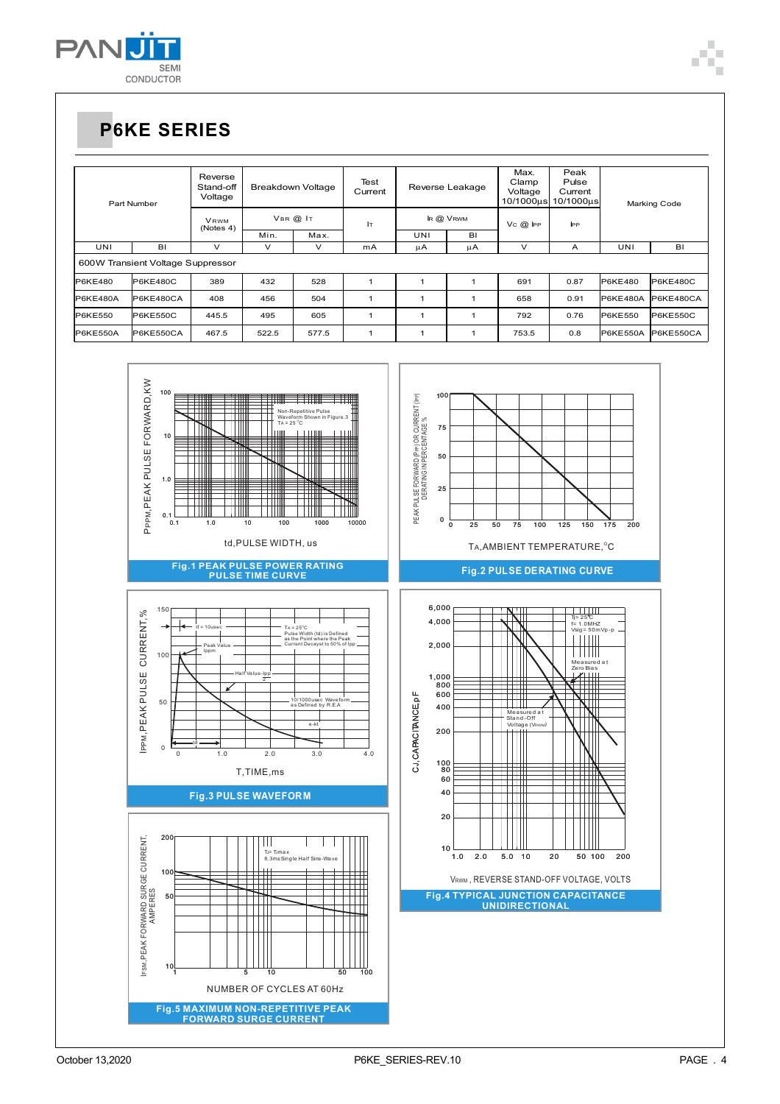

| Part Number                       |                 | Reverse<br>Stand-off<br>Voltage |               | <b>Breakdown Voltage</b> | Test<br>Current | Reverse Leakage |    | Max.<br>Clamp<br>Voltage<br>10/1000us | Peak<br>Pulse<br>Current<br>10/1000us | Marking Code |                  |
|-----------------------------------|-----------------|---------------------------------|---------------|--------------------------|-----------------|-----------------|----|---------------------------------------|---------------------------------------|--------------|------------------|
|                                   |                 | <b>VRWM</b><br>(Notes 4)        | $V$ BR $@$ IT |                          | Iт              | <b>k @ VRWM</b> |    | $V_C$ $\oslash$ IPP                   | $_{\rm PP}$                           |              |                  |
|                                   | Min.            |                                 | Max.          |                          | UNI             | BI              |    |                                       |                                       |              |                  |
| UNI                               | BI              | $\checkmark$                    | $\checkmark$  | $\checkmark$             | mA              | μA              | μA | $\checkmark$                          | Α                                     | UNI          | BI               |
| 600W Transient Voltage Suppressor |                 |                                 |               |                          |                 |                 |    |                                       |                                       |              |                  |
| <b>P6KE480</b>                    | P6KE480C        | 389                             | 432           | 528                      |                 |                 |    | 691                                   | 0.87                                  | P6KE480      | <b>P6KE480C</b>  |
| <b>P6KE480A</b>                   | P6KE480CA       | 408                             | 456           | 504                      | 1               | и               |    | 658                                   | 0.91                                  | P6KE480A     | <b>P6KE480CA</b> |
| <b>P6KE550</b>                    | <b>P6KE550C</b> | 445.5                           | 495           | 605                      |                 |                 |    | 792                                   | 0.76                                  | P6KE550      | <b>P6KE550C</b>  |
| P6KE550A                          | P6KE550CA       | 467.5                           | 522.5         | 577.5                    |                 |                 |    | 753.5                                 | 0.8                                   | P6KE550A     | P6KE550CA        |

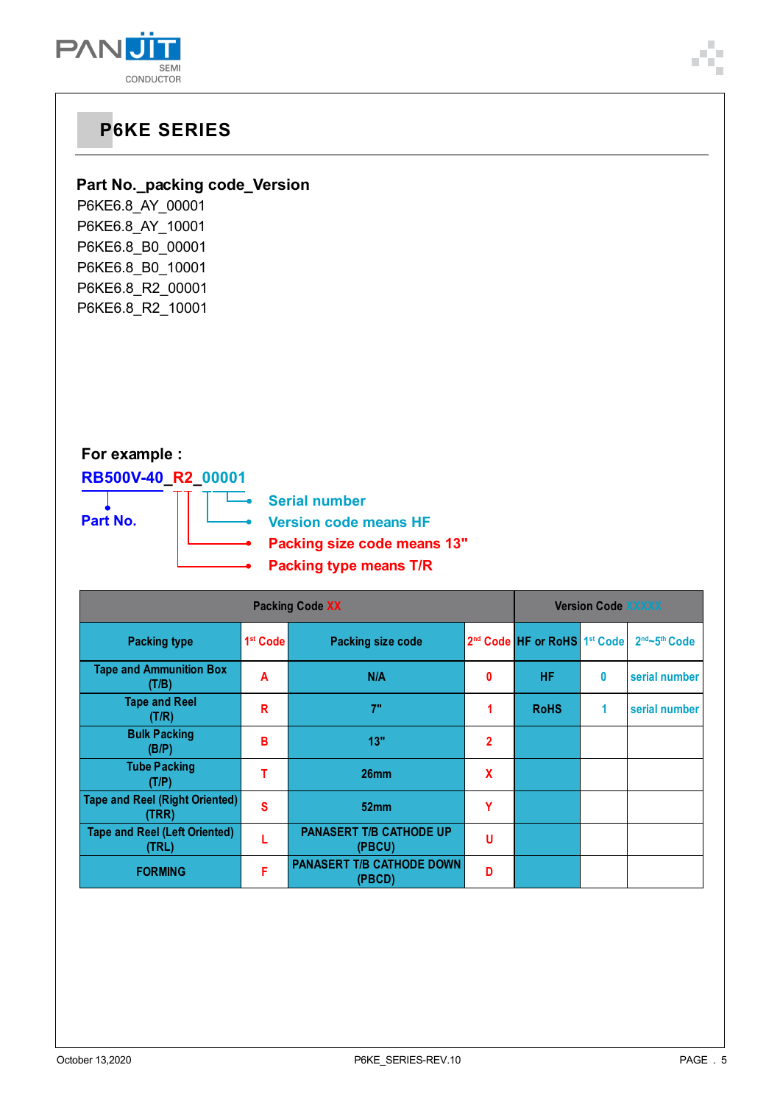

### **Part No.\_packing code\_Version**

P6KE6.8\_AY\_00001 P6KE6.8\_AY\_10001 P6KE6.8\_B0\_00001 P6KE6.8\_B0\_10001 P6KE6.8\_R2\_00001 P6KE6.8\_R2\_10001

### **For example :**

# **RB500V-40\_R2\_00001 Part No.**



|                                                |                      | <b>Version Code XXXXX</b>                |                |                                                      |   |                                       |
|------------------------------------------------|----------------------|------------------------------------------|----------------|------------------------------------------------------|---|---------------------------------------|
| <b>Packing type</b>                            | 1 <sup>st</sup> Code | <b>Packing size code</b>                 |                | 2 <sup>nd</sup> Code HF or RoHS 1 <sup>st</sup> Code |   | 2 <sup>nd</sup> ~5 <sup>th</sup> Code |
| <b>Tape and Ammunition Box</b><br>(T/B)        | A                    | N/A                                      | 0              | <b>HF</b>                                            | 0 | serial number                         |
| <b>Tape and Reel</b><br>(T/R)                  | R                    | 7"                                       |                | <b>RoHS</b>                                          | 1 | serial number                         |
| <b>Bulk Packing</b><br>(B/P)                   | B                    | 13"                                      | $\overline{2}$ |                                                      |   |                                       |
| <b>Tube Packing</b><br>(T/P)                   | т                    | 26mm                                     | X              |                                                      |   |                                       |
| <b>Tape and Reel (Right Oriented)</b><br>(TRR) | $\mathbf{s}$         | 52mm                                     | Υ              |                                                      |   |                                       |
| <b>Tape and Reel (Left Oriented)</b><br>(TRL)  |                      | <b>PANASERT T/B CATHODE UP</b><br>(PBCU) | U              |                                                      |   |                                       |
| <b>FORMING</b>                                 | F                    | PANASERT T/B CATHODE DOWN<br>(PBCD)      | D              |                                                      |   |                                       |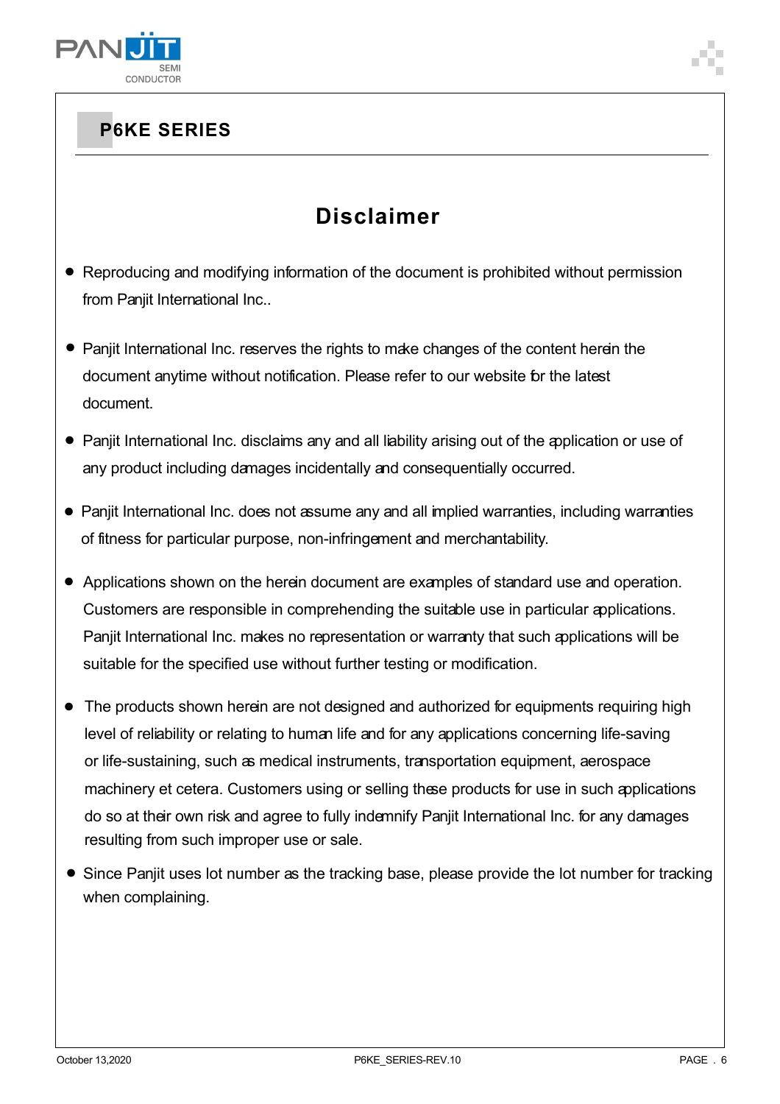

## **Disclaimer**

- Reproducing and modifying information of the document is prohibited without permission from Panjit International Inc..
- Panjit International Inc. reserves the rights to make changes of the content herein the document anytime without notification. Please refer to our website for the latest document.
- Panjit International Inc. disclaims any and all liability arising out of the application or use of any product including damages incidentally and consequentially occurred.
- Panjit International Inc. does not assume any and all implied warranties, including warranties of fitness for particular purpose, non-infringement and merchantability.
- Applications shown on the herein document are examples of standard use and operation. Customers are responsible in comprehending the suitable use in particular applications. Panjit International Inc. makes no representation or warranty that such applications will be suitable for the specified use without further testing or modification.
- The products shown herein are not designed and authorized for equipments requiring high level of reliability or relating to human life and for any applications concerning life-saving or life-sustaining, such as medical instruments, transportation equipment, aerospace machinery et cetera. Customers using or selling these products for use in such applications do so at their own risk and agree to fully indemnify Panjit International Inc. for any damages resulting from such improper use or sale.
- Since Panjit uses lot number as the tracking base, please provide the lot number for tracking when complaining.